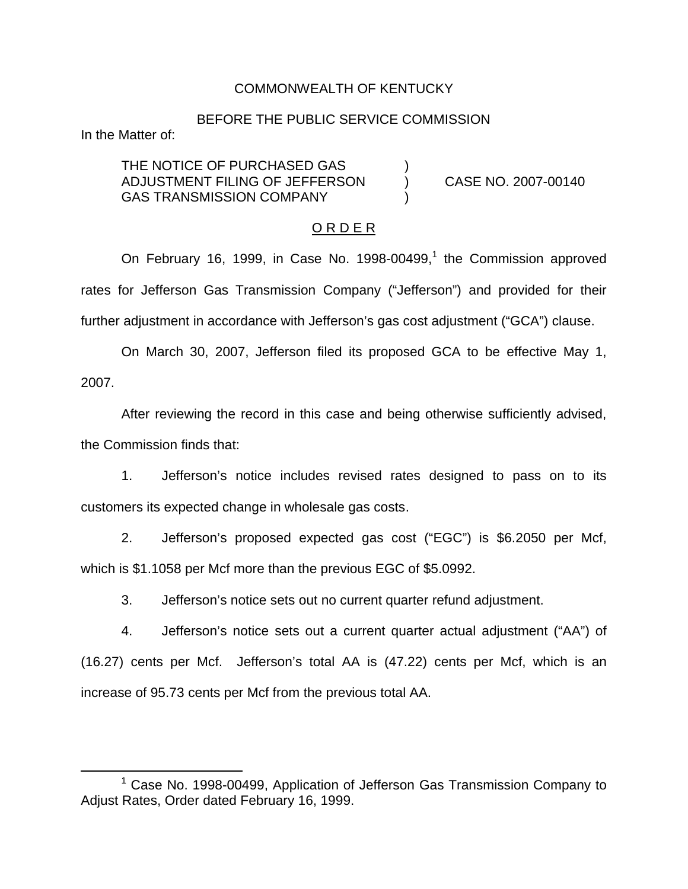### COMMONWEALTH OF KENTUCKY

#### BEFORE THE PUBLIC SERVICE COMMISSION

In the Matter of:

THE NOTICE OF PURCHASED GAS ADJUSTMENT FILING OF JEFFERSON ) CASE NO. 2007-00140 GAS TRANSMISSION COMPANY

#### O R D E R

On February 16, 1999, in Case No. 1998-00499,<sup>1</sup> the Commission approved rates for Jefferson Gas Transmission Company ("Jefferson") and provided for their further adjustment in accordance with Jefferson's gas cost adjustment ("GCA") clause.

On March 30, 2007, Jefferson filed its proposed GCA to be effective May 1, 2007.

After reviewing the record in this case and being otherwise sufficiently advised, the Commission finds that:

1. Jefferson's notice includes revised rates designed to pass on to its customers its expected change in wholesale gas costs.

2. Jefferson's proposed expected gas cost ("EGC") is \$6.2050 per Mcf, which is \$1.1058 per Mcf more than the previous EGC of \$5.0992.

3. Jefferson's notice sets out no current quarter refund adjustment.

4. Jefferson's notice sets out a current quarter actual adjustment ("AA") of (16.27) cents per Mcf. Jefferson's total AA is (47.22) cents per Mcf, which is an increase of 95.73 cents per Mcf from the previous total AA.

 $1$  Case No. 1998-00499. Application of Jefferson Gas Transmission Company to Adjust Rates, Order dated February 16, 1999.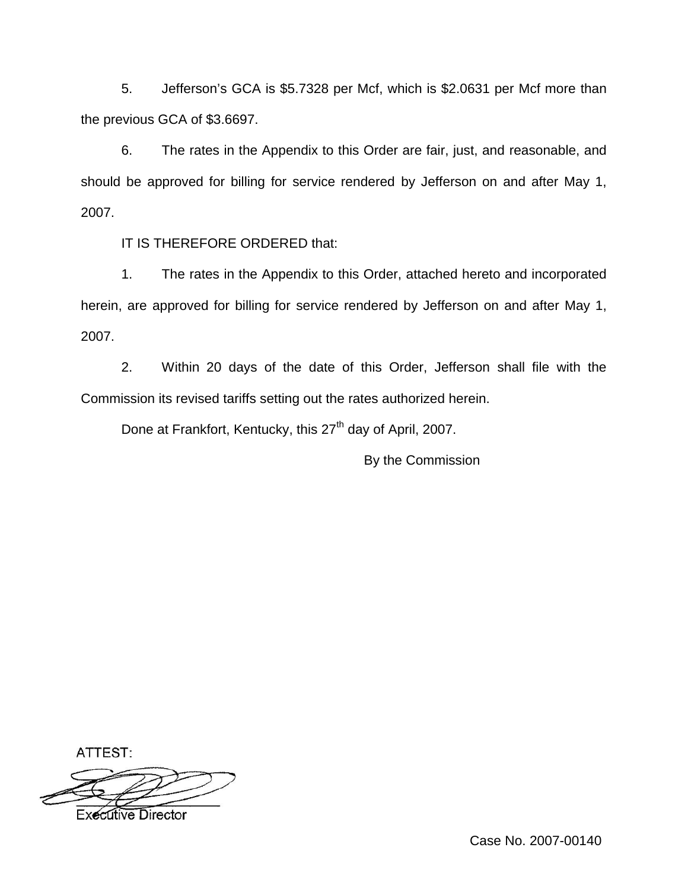5. Jefferson's GCA is \$5.7328 per Mcf, which is \$2.0631 per Mcf more than the previous GCA of \$3.6697.

6. The rates in the Appendix to this Order are fair, just, and reasonable, and should be approved for billing for service rendered by Jefferson on and after May 1, 2007.

IT IS THEREFORE ORDERED that:

1. The rates in the Appendix to this Order, attached hereto and incorporated herein, are approved for billing for service rendered by Jefferson on and after May 1, 2007.

2. Within 20 days of the date of this Order, Jefferson shall file with the Commission its revised tariffs setting out the rates authorized herein.

Done at Frankfort, Kentucky, this 27<sup>th</sup> day of April, 2007.

By the Commission

ATTEST: